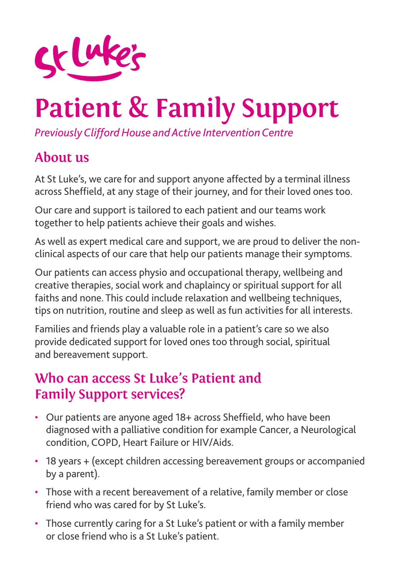

# **Patient & Family Support**

*Previously Clifford House and Active Intervention Centre*

## **About us**

At St Luke's, we care for and support anyone affected by a terminal illness across Sheffield, at any stage of their journey, and for their loved ones too.

Our care and support is tailored to each patient and our teams work together to help patients achieve their goals and wishes.

As well as expert medical care and support, we are proud to deliver the nonclinical aspects of our care that help our patients manage their symptoms.

Our patients can access physio and occupational therapy, wellbeing and creative therapies, social work and chaplaincy or spiritual support for all faiths and none. This could include relaxation and wellbeing techniques, tips on nutrition, routine and sleep as well as fun activities for all interests.

Families and friends play a valuable role in a patient's care so we also provide dedicated support for loved ones too through social, spiritual and bereavement support.

#### **Who can access St Luke's Patient and Family Support services?**

- Our patients are anyone aged 18+ across Sheffield, who have been diagnosed with a palliative condition for example Cancer, a Neurological condition, COPD, Heart Failure or HIV/Aids.
- 18 years + (except children accessing bereavement groups or accompanied by a parent).
- Those with a recent bereavement of a relative, family member or close friend who was cared for by St Luke's.
- Those currently caring for a St Luke's patient or with a family member or close friend who is a St Luke's patient.